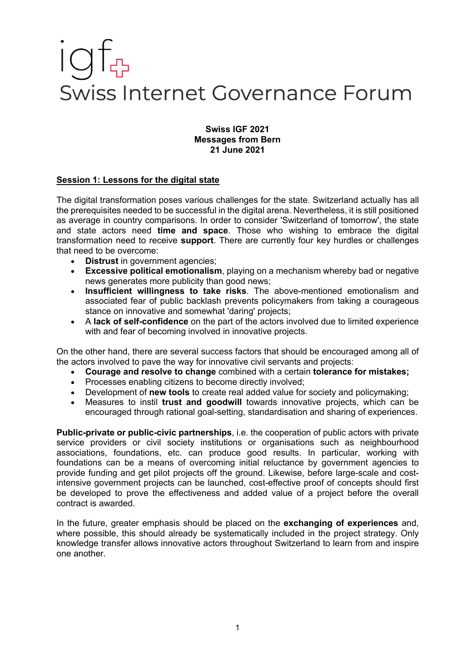# Swiss Internet Governance Forum

### **Swiss IGF 2021 Messages from Bern 21 June 2021**

## **Session 1: Lessons for the digital state**

The digital transformation poses various challenges for the state. Switzerland actually has all the prerequisites needed to be successful in the digital arena. Nevertheless, it is still positioned as average in country comparisons. In order to consider 'Switzerland of tomorrow', the state and state actors need **time and space**. Those who wishing to embrace the digital transformation need to receive **support**. There are currently four key hurdles or challenges that need to be overcome:

- **Distrust** in government agencies;
- **Excessive political emotionalism**, playing on a mechanism whereby bad or negative news generates more publicity than good news;
- **Insufficient willingness to take risks**. The above-mentioned emotionalism and associated fear of public backlash prevents policymakers from taking a courageous stance on innovative and somewhat 'daring' projects;
- A **lack of self-confidence** on the part of the actors involved due to limited experience with and fear of becoming involved in innovative projects.

On the other hand, there are several success factors that should be encouraged among all of the actors involved to pave the way for innovative civil servants and projects:

- **Courage and resolve to change** combined with a certain **tolerance for mistakes;**
- Processes enabling citizens to become directly involved;
- Development of **new tools** to create real added value for society and policymaking;
- Measures to instil **trust and goodwill** towards innovative projects, which can be encouraged through rational goal-setting, standardisation and sharing of experiences.

**Public-private or public-civic partnerships**, i.e. the cooperation of public actors with private service providers or civil society institutions or organisations such as neighbourhood associations, foundations, etc. can produce good results. In particular, working with foundations can be a means of overcoming initial reluctance by government agencies to provide funding and get pilot projects off the ground. Likewise, before large-scale and costintensive government projects can be launched, cost-effective proof of concepts should first be developed to prove the effectiveness and added value of a project before the overall contract is awarded.

In the future, greater emphasis should be placed on the **exchanging of experiences** and, where possible, this should already be systematically included in the project strategy. Only knowledge transfer allows innovative actors throughout Switzerland to learn from and inspire one another.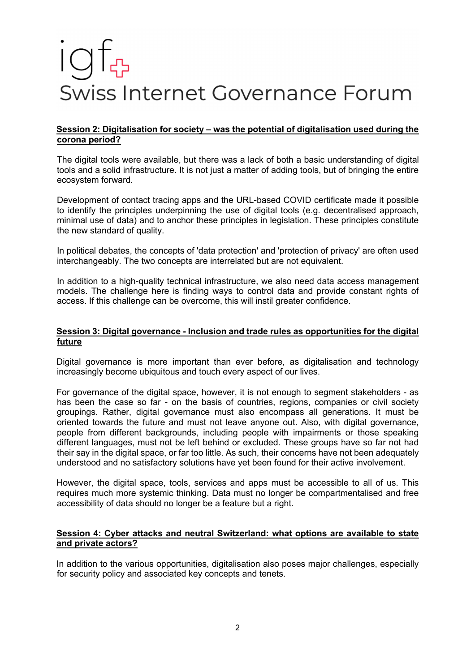# Swiss Internet Governance Forum

## **Session 2: Digitalisation for society – was the potential of digitalisation used during the corona period?**

The digital tools were available, but there was a lack of both a basic understanding of digital tools and a solid infrastructure. It is not just a matter of adding tools, but of bringing the entire ecosystem forward.

Development of contact tracing apps and the URL-based COVID certificate made it possible to identify the principles underpinning the use of digital tools (e.g. decentralised approach, minimal use of data) and to anchor these principles in legislation. These principles constitute the new standard of quality.

In political debates, the concepts of 'data protection' and 'protection of privacy' are often used interchangeably. The two concepts are interrelated but are not equivalent.

In addition to a high-quality technical infrastructure, we also need data access management models. The challenge here is finding ways to control data and provide constant rights of access. If this challenge can be overcome, this will instil greater confidence.

## **Session 3: Digital governance - Inclusion and trade rules as opportunities for the digital future**

Digital governance is more important than ever before, as digitalisation and technology increasingly become ubiquitous and touch every aspect of our lives.

For governance of the digital space, however, it is not enough to segment stakeholders - as has been the case so far - on the basis of countries, regions, companies or civil society groupings. Rather, digital governance must also encompass all generations. It must be oriented towards the future and must not leave anyone out. Also, with digital governance, people from different backgrounds, including people with impairments or those speaking different languages, must not be left behind or excluded. These groups have so far not had their say in the digital space, or far too little. As such, their concerns have not been adequately understood and no satisfactory solutions have yet been found for their active involvement.

However, the digital space, tools, services and apps must be accessible to all of us. This requires much more systemic thinking. Data must no longer be compartmentalised and free accessibility of data should no longer be a feature but a right.

### **Session 4: Cyber attacks and neutral Switzerland: what options are available to state and private actors?**

In addition to the various opportunities, digitalisation also poses major challenges, especially for security policy and associated key concepts and tenets.